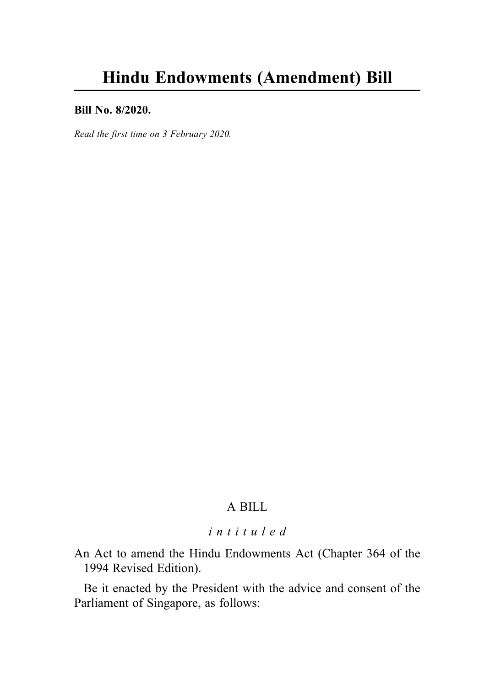#### Bill No. 8/2020.

Read the first time on 3 February 2020.

## A BILL

# intituled

An Act to amend the Hindu Endowments Act (Chapter 364 of the 1994 Revised Edition).

Be it enacted by the President with the advice and consent of the Parliament of Singapore, as follows: